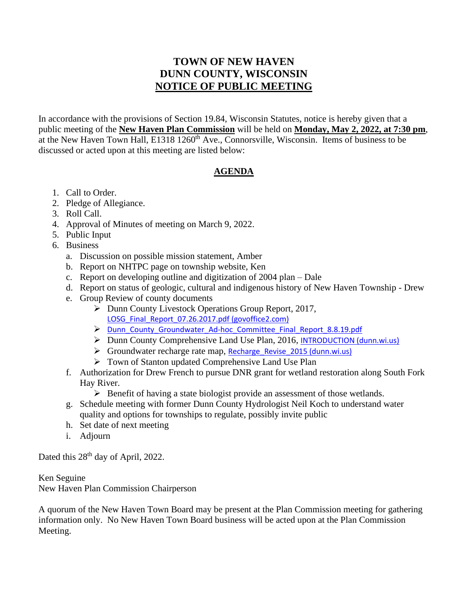## **TOWN OF NEW HAVEN DUNN COUNTY, WISCONSIN NOTICE OF PUBLIC MEETING**

In accordance with the provisions of Section 19.84, Wisconsin Statutes, notice is hereby given that a public meeting of the **New Haven Plan Commission** will be held on **Monday, May 2, 2022, at 7:30 pm**, at the New Haven Town Hall, E1318 1260<sup>th</sup> Ave., Connorsville, Wisconsin. Items of business to be discussed or acted upon at this meeting are listed below:

## **AGENDA**

- 1. Call to Order.
- 2. Pledge of Allegiance.
- 3. Roll Call.
- 4. Approval of Minutes of meeting on March 9, 2022.
- 5. Public Input
- 6. Business
	- a. Discussion on possible mission statement, Amber
	- b. Report on NHTPC page on township website, Ken
	- c. Report on developing outline and digitization of 2004 plan Dale
	- d. Report on status of geologic, cultural and indigenous history of New Haven Township Drew
	- e. Group Review of county documents
		- ➢ Dunn County Livestock Operations Group Report, 2017, [LOSG\\_Final\\_Report\\_07.26.2017.pdf \(govoffice2.com\)](https://dunncountywirebuild.govoffice2.com/vertical/Sites/%7BD750D8EC-F485-41AF-8057-2CE69E2B175A%7D/uploads/LOSG_Final_Report_07.26.2017.pdf)
		- ➢ [Dunn\\_County\\_Groundwater\\_Ad-hoc\\_Committee\\_Final\\_Report\\_8.8.19.pdf](https://www.co.dunn.wi.us/vertical/Sites/%7BD750D8EC-F485-41AF-8057-2CE69E2B175A%7D/uploads/Dunn_County_Groundwater_Ad-hoc_Committee_Final_Report_8.8.19.pdf)
		- ➢ Dunn County Comprehensive Land Use Plan, 2016, [INTRODUCTION \(dunn.wi.us\)](https://www.co.dunn.wi.us/vertical/Sites/%7B97C2FC1A-69D7-4F5C-BA23-79B5C833BED5%7D/uploads/2020_Grant_AEA_Amendment.pdf)
		- $\triangleright$  Groundwater recharge rate map, Recharge Revise 2015 (dunn.wi.us)
		- ➢ Town of Stanton updated Comprehensive Land Use Plan
	- f. Authorization for Drew French to pursue DNR grant for wetland restoration along South Fork Hay River.
		- $\triangleright$  Benefit of having a state biologist provide an assessment of those wetlands.
	- g. Schedule meeting with former Dunn County Hydrologist Neil Koch to understand water quality and options for townships to regulate, possibly invite public
	- h. Set date of next meeting
	- i. Adjourn

Dated this 28<sup>th</sup> day of April, 2022.

## Ken Seguine

New Haven Plan Commission Chairperson

A quorum of the New Haven Town Board may be present at the Plan Commission meeting for gathering information only. No New Haven Town Board business will be acted upon at the Plan Commission Meeting.